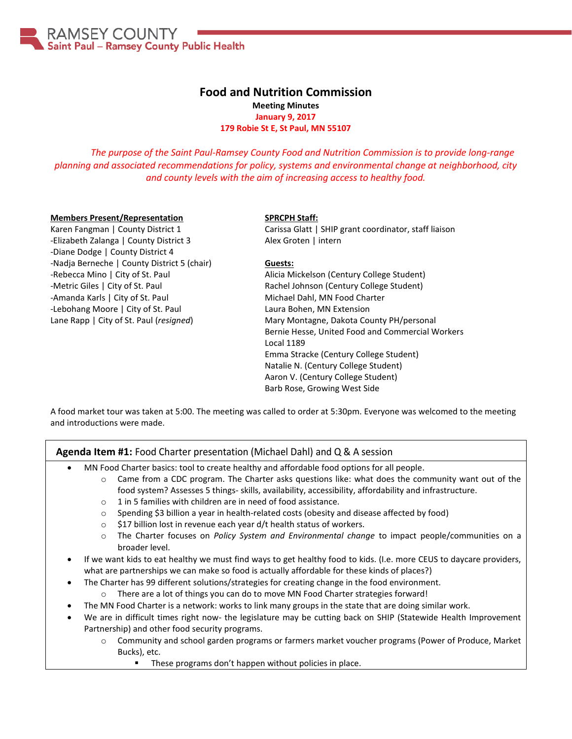

### **Food and Nutrition Commission Meeting Minutes January 9, 2017 179 Robie St E, St Paul, MN 55107**

*The purpose of the Saint Paul-Ramsey County Food and Nutrition Commission is to provide long-range planning and associated recommendations for policy, systems and environmental change at neighborhood, city and county levels with the aim of increasing access to healthy food.*

#### **Members Present/Representation**

Karen Fangman | County District 1 -Elizabeth Zalanga | County District 3 -Diane Dodge | County District 4 -Nadja Berneche | County District 5 (chair) -Rebecca Mino | City of St. Paul -Metric Giles | City of St. Paul -Amanda Karls | City of St. Paul -Lebohang Moore | City of St. Paul Lane Rapp | City of St. Paul (*resigned*)

#### **SPRCPH Staff:**

Carissa Glatt | SHIP grant coordinator, staff liaison Alex Groten | intern

### **Guests:**

Alicia Mickelson (Century College Student) Rachel Johnson (Century College Student) Michael Dahl, MN Food Charter Laura Bohen, MN Extension Mary Montagne, Dakota County PH/personal Bernie Hesse, United Food and Commercial Workers Local 1189 Emma Stracke (Century College Student) Natalie N. (Century College Student) Aaron V. (Century College Student) Barb Rose, Growing West Side

A food market tour was taken at 5:00. The meeting was called to order at 5:30pm. Everyone was welcomed to the meeting and introductions were made.

### **Agenda Item #1:** Food Charter presentation (Michael Dahl) and Q & A session

- MN Food Charter basics: tool to create healthy and affordable food options for all people.
	- $\circ$  Came from a CDC program. The Charter asks questions like: what does the community want out of the food system? Assesses 5 things- skills, availability, accessibility, affordability and infrastructure.
	- o 1 in 5 families with children are in need of food assistance.
	- o Spending \$3 billion a year in health-related costs (obesity and disease affected by food)
	- o \$17 billion lost in revenue each year d/t health status of workers.
	- o The Charter focuses on *Policy System and Environmental change* to impact people/communities on a broader level.
- If we want kids to eat healthy we must find ways to get healthy food to kids. (I.e. more CEUS to daycare providers, what are partnerships we can make so food is actually affordable for these kinds of places?)
- The Charter has 99 different solutions/strategies for creating change in the food environment.
	- o There are a lot of things you can do to move MN Food Charter strategies forward!
- The MN Food Charter is a network: works to link many groups in the state that are doing similar work.
- We are in difficult times right now- the legislature may be cutting back on SHIP (Statewide Health Improvement Partnership) and other food security programs.
	- o Community and school garden programs or farmers market voucher programs (Power of Produce, Market Bucks), etc.
		- These programs don't happen without policies in place.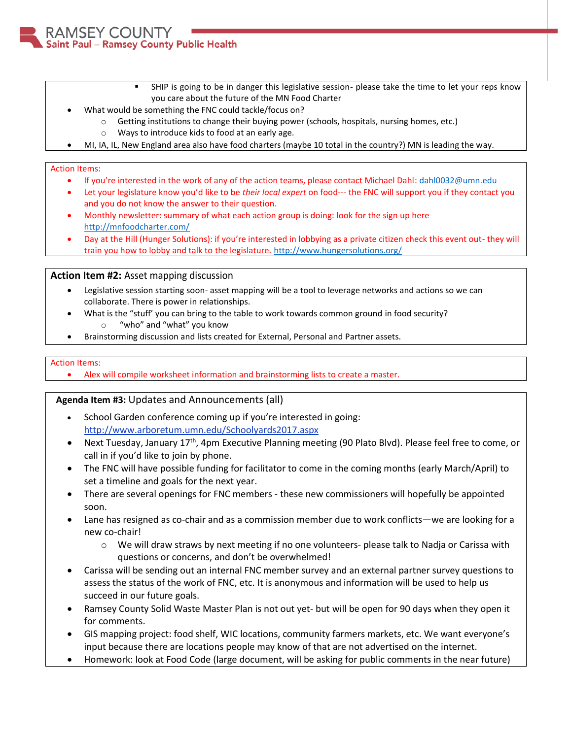SHIP is going to be in danger this legislative session- please take the time to let your reps know you care about the future of the MN Food Charter

- What would be something the FNC could tackle/focus on?
	- o Getting institutions to change their buying power (schools, hospitals, nursing homes, etc.)
	- o Ways to introduce kids to food at an early age.
- MI, IA, IL, New England area also have food charters (maybe 10 total in the country?) MN is leading the way.

## Action Items:

MSEY COUNTY

Saint Paul - Ramsey County Public Health

- If you're interested in the work of any of the action teams, please contact Michael Dahl: [dahl0032@umn.edu](mailto:dahl0032@umn.edu)
- Let your legislature know you'd like to be *their local expert* on food--- the FNC will support you if they contact you and you do not know the answer to their question.
- Monthly newsletter: summary of what each action group is doing: look for the sign up here <http://mnfoodcharter.com/>
- Day at the Hill (Hunger Solutions): if you're interested in lobbying as a private citizen check this event out- they will train you how to lobby and talk to the legislature. <http://www.hungersolutions.org/>

# **Action Item #2:** Asset mapping discussion

- Legislative session starting soon- asset mapping will be a tool to leverage networks and actions so we can collaborate. There is power in relationships.
- What is the "stuff' you can bring to the table to work towards common ground in food security?
	- o "who" and "what" you know
- Brainstorming discussion and lists created for External, Personal and Partner assets.

## Action Items:

Alex will compile worksheet information and brainstorming lists to create a master.

# **Agenda Item #3:** Updates and Announcements (all)

- School Garden conference coming up if you're interested in going: <http://www.arboretum.umn.edu/Schoolyards2017.aspx>
- Next Tuesday, January 17<sup>th</sup>, 4pm Executive Planning meeting (90 Plato Blvd). Please feel free to come, or call in if you'd like to join by phone.
- The FNC will have possible funding for facilitator to come in the coming months (early March/April) to set a timeline and goals for the next year.
- There are several openings for FNC members these new commissioners will hopefully be appointed soon.
- Lane has resigned as co-chair and as a commission member due to work conflicts—we are looking for a new co-chair!
	- $\circ$  We will draw straws by next meeting if no one volunteers- please talk to Nadja or Carissa with questions or concerns, and don't be overwhelmed!
- Carissa will be sending out an internal FNC member survey and an external partner survey questions to assess the status of the work of FNC, etc. It is anonymous and information will be used to help us succeed in our future goals.
- Ramsey County Solid Waste Master Plan is not out yet- but will be open for 90 days when they open it for comments.
- GIS mapping project: food shelf, WIC locations, community farmers markets, etc. We want everyone's input because there are locations people may know of that are not advertised on the internet.
- Homework: look at Food Code (large document, will be asking for public comments in the near future)